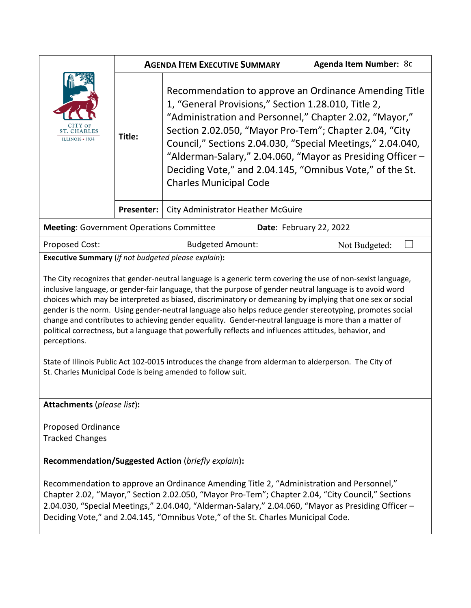|                                                                                                                                                                                                                                                                                                                                                                                                                                                                                                                                                                                                                                                                                                                                                                                                                                                                                                                             | <b>AGENDA ITEM EXECUTIVE SUMMARY</b>                    |                                                                                                                                                                                                                                                                                                                                                                                                                                                           |                         |  | <b>Agenda Item Number: 8c</b> |  |
|-----------------------------------------------------------------------------------------------------------------------------------------------------------------------------------------------------------------------------------------------------------------------------------------------------------------------------------------------------------------------------------------------------------------------------------------------------------------------------------------------------------------------------------------------------------------------------------------------------------------------------------------------------------------------------------------------------------------------------------------------------------------------------------------------------------------------------------------------------------------------------------------------------------------------------|---------------------------------------------------------|-----------------------------------------------------------------------------------------------------------------------------------------------------------------------------------------------------------------------------------------------------------------------------------------------------------------------------------------------------------------------------------------------------------------------------------------------------------|-------------------------|--|-------------------------------|--|
| <b>ST. CHARLES</b><br>ILLINOIS • 1834                                                                                                                                                                                                                                                                                                                                                                                                                                                                                                                                                                                                                                                                                                                                                                                                                                                                                       | Title:                                                  | Recommendation to approve an Ordinance Amending Title<br>1, "General Provisions," Section 1.28.010, Title 2,<br>"Administration and Personnel," Chapter 2.02, "Mayor,"<br>Section 2.02.050, "Mayor Pro-Tem"; Chapter 2.04, "City<br>Council," Sections 2.04.030, "Special Meetings," 2.04.040,<br>"Alderman-Salary," 2.04.060, "Mayor as Presiding Officer -<br>Deciding Vote," and 2.04.145, "Omnibus Vote," of the St.<br><b>Charles Municipal Code</b> |                         |  |                               |  |
|                                                                                                                                                                                                                                                                                                                                                                                                                                                                                                                                                                                                                                                                                                                                                                                                                                                                                                                             | Presenter:<br><b>City Administrator Heather McGuire</b> |                                                                                                                                                                                                                                                                                                                                                                                                                                                           |                         |  |                               |  |
| <b>Meeting: Government Operations Committee</b><br>Date: February 22, 2022                                                                                                                                                                                                                                                                                                                                                                                                                                                                                                                                                                                                                                                                                                                                                                                                                                                  |                                                         |                                                                                                                                                                                                                                                                                                                                                                                                                                                           |                         |  |                               |  |
| <b>Proposed Cost:</b>                                                                                                                                                                                                                                                                                                                                                                                                                                                                                                                                                                                                                                                                                                                                                                                                                                                                                                       |                                                         |                                                                                                                                                                                                                                                                                                                                                                                                                                                           | <b>Budgeted Amount:</b> |  | Not Budgeted:                 |  |
| <b>Executive Summary</b> (if not budgeted please explain):<br>The City recognizes that gender-neutral language is a generic term covering the use of non-sexist language,<br>inclusive language, or gender-fair language, that the purpose of gender neutral language is to avoid word<br>choices which may be interpreted as biased, discriminatory or demeaning by implying that one sex or social<br>gender is the norm. Using gender-neutral language also helps reduce gender stereotyping, promotes social<br>change and contributes to achieving gender equality. Gender-neutral language is more than a matter of<br>political correctness, but a language that powerfully reflects and influences attitudes, behavior, and<br>perceptions.<br>State of Illinois Public Act 102-0015 introduces the change from alderman to alderperson. The City of<br>St. Charles Municipal Code is being amended to follow suit. |                                                         |                                                                                                                                                                                                                                                                                                                                                                                                                                                           |                         |  |                               |  |
| <b>Attachments (please list):</b>                                                                                                                                                                                                                                                                                                                                                                                                                                                                                                                                                                                                                                                                                                                                                                                                                                                                                           |                                                         |                                                                                                                                                                                                                                                                                                                                                                                                                                                           |                         |  |                               |  |
| Proposed Ordinance<br><b>Tracked Changes</b>                                                                                                                                                                                                                                                                                                                                                                                                                                                                                                                                                                                                                                                                                                                                                                                                                                                                                |                                                         |                                                                                                                                                                                                                                                                                                                                                                                                                                                           |                         |  |                               |  |
| Recommendation/Suggested Action (briefly explain):                                                                                                                                                                                                                                                                                                                                                                                                                                                                                                                                                                                                                                                                                                                                                                                                                                                                          |                                                         |                                                                                                                                                                                                                                                                                                                                                                                                                                                           |                         |  |                               |  |
| Recommendation to approve an Ordinance Amending Title 2, "Administration and Personnel,"<br>Chapter 2.02, "Mayor," Section 2.02.050, "Mayor Pro-Tem"; Chapter 2.04, "City Council," Sections<br>2.04.030, "Special Meetings," 2.04.040, "Alderman-Salary," 2.04.060, "Mayor as Presiding Officer -<br>Deciding Vote," and 2.04.145, "Omnibus Vote," of the St. Charles Municipal Code.                                                                                                                                                                                                                                                                                                                                                                                                                                                                                                                                      |                                                         |                                                                                                                                                                                                                                                                                                                                                                                                                                                           |                         |  |                               |  |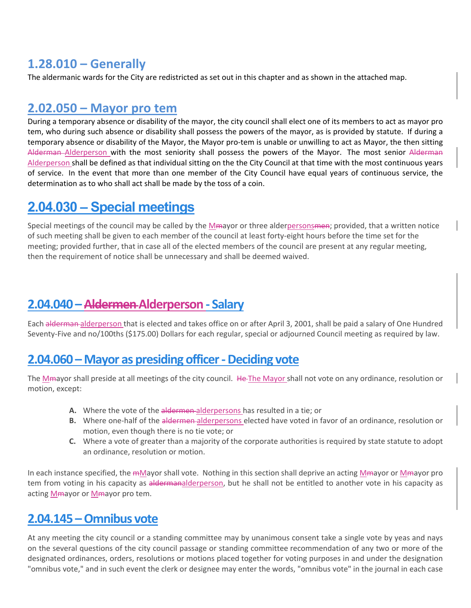### **1.28.010 – Generally**

The aldermanic wards for the City are redistricted as set out in this chapter and as shown in the attached map.

### **2.02.050 – Mayor pro tem**

During a temporary absence or disability of the mayor, the city council shall elect one of its members to act as mayor pro tem, who during such absence or disability shall possess the powers of the mayor, as is provided by statute. If during a temporary absence or disability of the Mayor, the Mayor pro-tem is unable or unwilling to act as Mayor, the then sitting Alderman Alderperson with the most seniority shall possess the powers of the Mayor. The most senior Alderman Alderperson shall be defined as that individual sitting on the the City Council at that time with the most continuous years of service. In the event that more than one member of the City Council have equal years of continuous service, the determination as to who shall act shall be made by the toss of a coin.

# **2.04.030 – Special meetings**

Special meetings of the council may be called by the Mmayor or three alderpersonsmen; provided, that a written notice of such meeting shall be given to each member of the council at least forty-eight hours before the time set for the meeting; provided further, that in case all of the elected members of the council are present at any regular meeting, then the requirement of notice shall be unnecessary and shall be deemed waived.

### **2.04.040 –AldermenAlderperson ‐ Salary**

Each alderman alderperson that is elected and takes office on or after April 3, 2001, shall be paid a salary of One Hundred Seventy‐Five and no/100ths (\$175.00) Dollars for each regular, special or adjourned Council meeting as required by law.

#### **2.04.060 –Mayor as presiding officer ‐ Deciding vote**

The Mmayor shall preside at all meetings of the city council. He The Mayor shall not vote on any ordinance, resolution or motion, except:

- **A.** Where the vote of the aldermen alderpersons has resulted in a tie; or
- **B.** Where one-half of the aldermen alderpersons elected have voted in favor of an ordinance, resolution or motion, even though there is no tie vote; or
- **C.** Where a vote of greater than a majority of the corporate authorities is required by state statute to adopt an ordinance, resolution or motion.

In each instance specified, the mMayor shall vote. Nothing in this section shall deprive an acting Mmayor or Mmayor pro tem from voting in his capacity as aldermanalderperson, but he shall not be entitled to another vote in his capacity as acting Mmayor or Mmayor pro tem.

## **2.04.145 –Omnibus vote**

At any meeting the city council or a standing committee may by unanimous consent take a single vote by yeas and nays on the several questions of the city council passage or standing committee recommendation of any two or more of the designated ordinances, orders, resolutions or motions placed together for voting purposes in and under the designation "omnibus vote," and in such event the clerk or designee may enter the words, "omnibus vote" in the journal in each case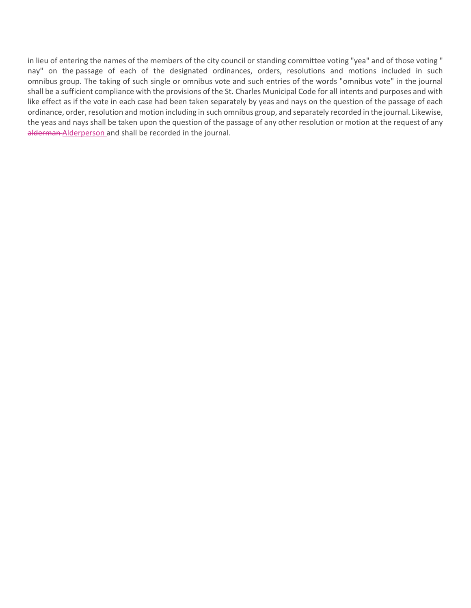in lieu of entering the names of the members of the city council or standing committee voting "yea" and of those voting " nay" on the passage of each of the designated ordinances, orders, resolutions and motions included in such omnibus group. The taking of such single or omnibus vote and such entries of the words "omnibus vote" in the journal shall be a sufficient compliance with the provisions of the St. Charles Municipal Code for all intents and purposes and with like effect as if the vote in each case had been taken separately by yeas and nays on the question of the passage of each ordinance, order, resolution and motion including in such omnibus group, and separately recorded in the journal. Likewise, the yeas and nays shall be taken upon the question of the passage of any other resolution or motion at the request of any alderman-Alderperson and shall be recorded in the journal.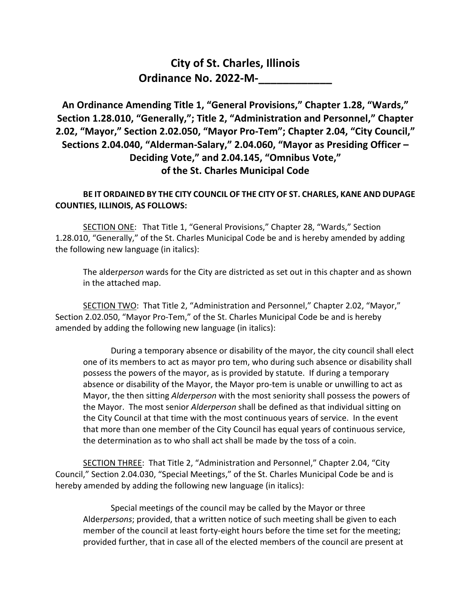#### **City of St. Charles, Illinois Ordinance No. 2022-M-\_\_\_\_\_\_\_\_\_\_\_\_**

**An Ordinance Amending Title 1, "General Provisions," Chapter 1.28, "Wards," Section 1.28.010, "Generally,"; Title 2, "Administration and Personnel," Chapter 2.02, "Mayor," Section 2.02.050, "Mayor Pro-Tem"; Chapter 2.04, "City Council," Sections 2.04.040, "Alderman-Salary," 2.04.060, "Mayor as Presiding Officer – Deciding Vote," and 2.04.145, "Omnibus Vote," of the St. Charles Municipal Code**

#### **BE IT ORDAINED BY THE CITY COUNCIL OF THE CITY OF ST. CHARLES, KANE AND DUPAGE COUNTIES, ILLINOIS, AS FOLLOWS:**

SECTION ONE: That Title 1, "General Provisions," Chapter 28, "Wards," Section 1.28.010, "Generally," of the St. Charles Municipal Code be and is hereby amended by adding the following new language (in italics):

The alder*person* wards for the City are districted as set out in this chapter and as shown in the attached map.

SECTION TWO: That Title 2, "Administration and Personnel," Chapter 2.02, "Mayor," Section 2.02.050, "Mayor Pro-Tem," of the St. Charles Municipal Code be and is hereby amended by adding the following new language (in italics):

During a temporary absence or disability of the mayor, the city council shall elect one of its members to act as mayor pro tem, who during such absence or disability shall possess the powers of the mayor, as is provided by statute. If during a temporary absence or disability of the Mayor, the Mayor pro-tem is unable or unwilling to act as Mayor, the then sitting *Alderperson* with the most seniority shall possess the powers of the Mayor. The most senior *Alderperson* shall be defined as that individual sitting on the City Council at that time with the most continuous years of service. In the event that more than one member of the City Council has equal years of continuous service, the determination as to who shall act shall be made by the toss of a coin.

SECTION THREE: That Title 2, "Administration and Personnel," Chapter 2.04, "City Council," Section 2.04.030, "Special Meetings," of the St. Charles Municipal Code be and is hereby amended by adding the following new language (in italics):

Special meetings of the council may be called by the Mayor or three Alder*persons*; provided, that a written notice of such meeting shall be given to each member of the council at least forty-eight hours before the time set for the meeting; provided further, that in case all of the elected members of the council are present at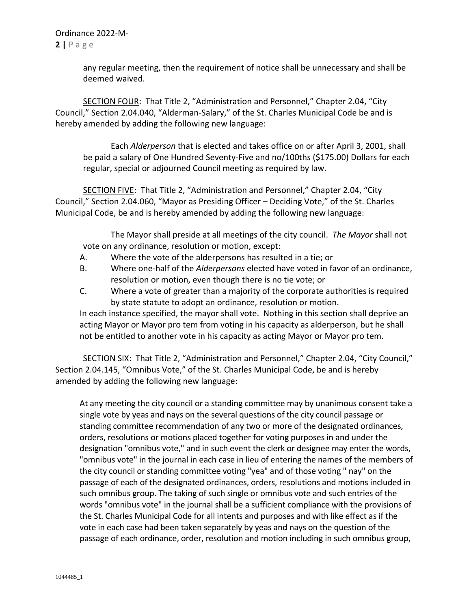any regular meeting, then the requirement of notice shall be unnecessary and shall be deemed waived.

SECTION FOUR: That Title 2, "Administration and Personnel," Chapter 2.04, "City Council," Section 2.04.040, "Alderman-Salary," of the St. Charles Municipal Code be and is hereby amended by adding the following new language:

Each *Alderperson* that is elected and takes office on or after April 3, 2001, shall be paid a salary of One Hundred Seventy-Five and no/100ths (\$175.00) Dollars for each regular, special or adjourned Council meeting as required by law.

SECTION FIVE: That Title 2, "Administration and Personnel," Chapter 2.04, "City Council," Section 2.04.060, "Mayor as Presiding Officer – Deciding Vote," of the St. Charles Municipal Code, be and is hereby amended by adding the following new language:

The Mayor shall preside at all meetings of the city council. *The Mayor* shall not vote on any ordinance, resolution or motion, except:

- A. Where the vote of the alderpersons has resulted in a tie; or
- B. Where one-half of the *Alderpersons* elected have voted in favor of an ordinance, resolution or motion, even though there is no tie vote; or
- C. Where a vote of greater than a majority of the corporate authorities is required by state statute to adopt an ordinance, resolution or motion.

In each instance specified, the mayor shall vote. Nothing in this section shall deprive an acting Mayor or Mayor pro tem from voting in his capacity as alderperson, but he shall not be entitled to another vote in his capacity as acting Mayor or Mayor pro tem.

SECTION SIX: That Title 2, "Administration and Personnel," Chapter 2.04, "City Council," Section 2.04.145, "Omnibus Vote," of the St. Charles Municipal Code, be and is hereby amended by adding the following new language:

At any meeting the city council or a standing committee may by unanimous consent take a single vote by yeas and nays on the several questions of the city council passage or standing committee recommendation of any two or more of the designated ordinances, orders, resolutions or motions placed together for voting purposes in and under the designation "omnibus vote," and in such event the clerk or designee may enter the words, "omnibus vote" in the journal in each case in lieu of entering the names of the members of the city council or standing committee voting "yea" and of those voting " nay" on the passage of each of the designated ordinances, orders, resolutions and motions included in such omnibus group. The taking of such single or omnibus vote and such entries of the words "omnibus vote" in the journal shall be a sufficient compliance with the provisions of the St. Charles Municipal Code for all intents and purposes and with like effect as if the vote in each case had been taken separately by yeas and nays on the question of the passage of each ordinance, order, resolution and motion including in such omnibus group,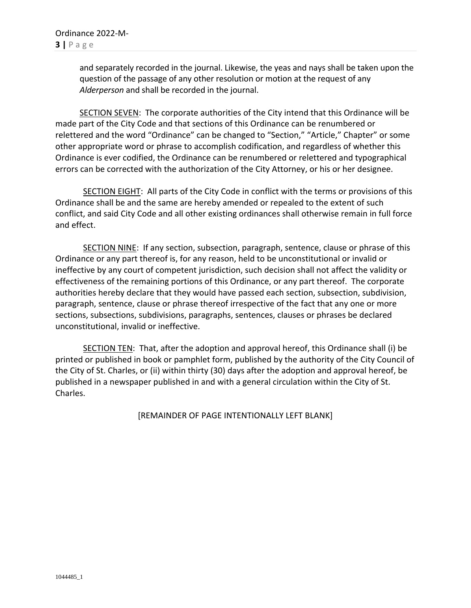and separately recorded in the journal. Likewise, the yeas and nays shall be taken upon the question of the passage of any other resolution or motion at the request of any *Alderperson* and shall be recorded in the journal.

SECTION SEVEN: The corporate authorities of the City intend that this Ordinance will be made part of the City Code and that sections of this Ordinance can be renumbered or relettered and the word "Ordinance" can be changed to "Section," "Article," Chapter" or some other appropriate word or phrase to accomplish codification, and regardless of whether this Ordinance is ever codified, the Ordinance can be renumbered or relettered and typographical errors can be corrected with the authorization of the City Attorney, or his or her designee.

SECTION EIGHT: All parts of the City Code in conflict with the terms or provisions of this Ordinance shall be and the same are hereby amended or repealed to the extent of such conflict, and said City Code and all other existing ordinances shall otherwise remain in full force and effect.

SECTION NINE: If any section, subsection, paragraph, sentence, clause or phrase of this Ordinance or any part thereof is, for any reason, held to be unconstitutional or invalid or ineffective by any court of competent jurisdiction, such decision shall not affect the validity or effectiveness of the remaining portions of this Ordinance, or any part thereof. The corporate authorities hereby declare that they would have passed each section, subsection, subdivision, paragraph, sentence, clause or phrase thereof irrespective of the fact that any one or more sections, subsections, subdivisions, paragraphs, sentences, clauses or phrases be declared unconstitutional, invalid or ineffective.

SECTION TEN: That, after the adoption and approval hereof, this Ordinance shall (i) be printed or published in book or pamphlet form, published by the authority of the City Council of the City of St. Charles, or (ii) within thirty (30) days after the adoption and approval hereof, be published in a newspaper published in and with a general circulation within the City of St. Charles.

[REMAINDER OF PAGE INTENTIONALLY LEFT BLANK]